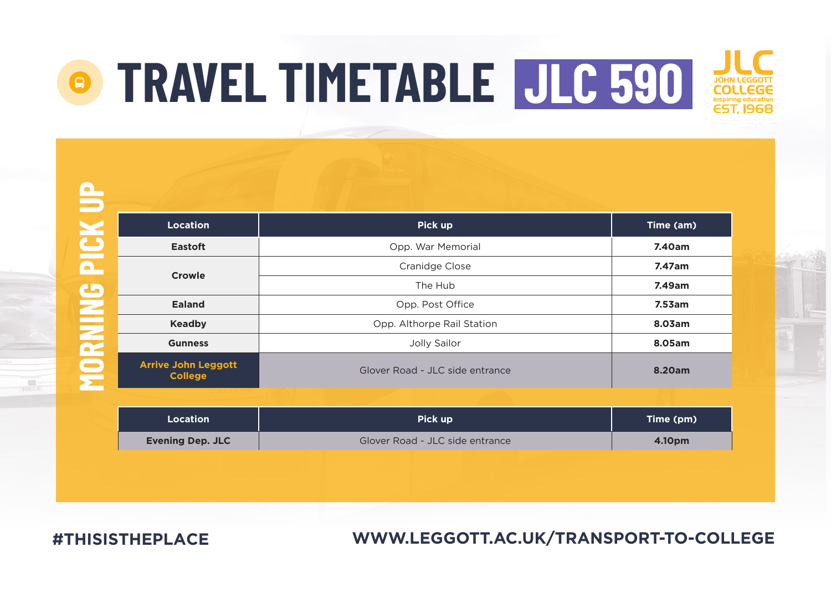$\blacksquare$ 

| <b>Location</b>                              | Pick up                         | Time (am) |
|----------------------------------------------|---------------------------------|-----------|
| Eastoft                                      | Opp. War Memorial               | 7.40am    |
| Crowle                                       | Cranidge Close                  | 7.47am    |
|                                              | The Hub                         | 7.49am    |
| Ealand                                       | Opp. Post Office                | 7.53am    |
| Keadby                                       | Opp. Althorpe Rail Station      | 8.03am    |
| <b>Gunness</b>                               | Jolly Sailor                    | 8.05am    |
| <b>Arrive John Leggott</b><br><b>College</b> | Glover Road - JLC side entrance | 8.20am    |

| Location                | Pick up                         | Time (pm) |
|-------------------------|---------------------------------|-----------|
| <b>Evening Dep. JLC</b> | Glover Road - JLC side entrance | 4.10pm    |

**#THISISTHEPLACE**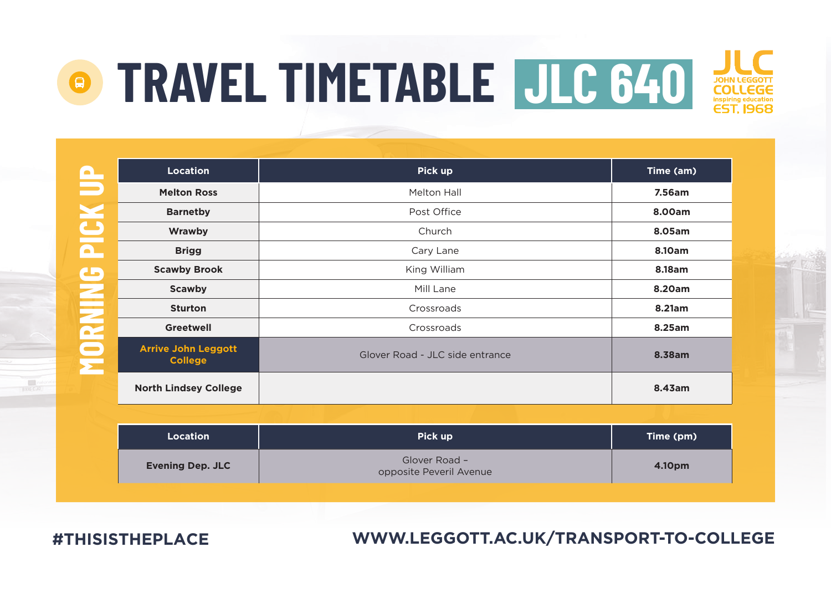| $\mathbf{\Omega}$       | <b>Location</b>                              | Pick up                                  | Time (am) |
|-------------------------|----------------------------------------------|------------------------------------------|-----------|
| ਵ                       | <b>Melton Ross</b>                           | Melton Hall                              | 7.56am    |
| $\overline{\mathbf{S}}$ | <b>Barnetby</b>                              | Post Office                              | 8.00am    |
|                         | Wrawby                                       | Church                                   | 8.05am    |
| $\blacksquare$          | <b>Brigg</b>                                 | Cary Lane                                | 8.10am    |
| $\mathbf{C}$            | <b>Scawby Brook</b>                          | King William                             | 8.18am    |
|                         | <b>Scawby</b>                                | Mill Lane                                | 8.20am    |
|                         | <b>Sturton</b>                               | Crossroads                               | 8.21am    |
|                         | <b>Greetwell</b>                             | Crossroads                               | 8.25am    |
| <b>MORNIN</b>           | <b>Arrive John Leggott</b><br><b>College</b> | Glover Road - JLC side entrance          | 8.38am    |
|                         | <b>North Lindsey College</b>                 |                                          | 8.43am    |
|                         |                                              |                                          |           |
|                         | <b>Location</b>                              | Pick up                                  | Time (pm) |
|                         | <b>Evening Dep. JLC</b>                      | Glover Road -<br>opposite Peveril Avenue | 4.10pm    |

**#THISISTHEPLACE**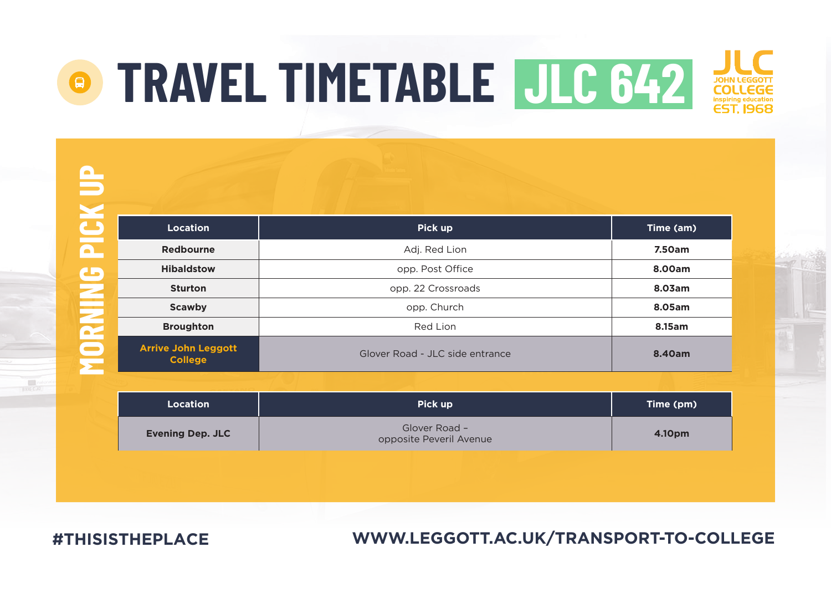黒

| <b>Location</b>                              | Pick up                         | Time (am) |
|----------------------------------------------|---------------------------------|-----------|
| Redbourne                                    | Adj. Red Lion                   | 7.50am    |
| <b>Hibaldstow</b>                            | opp. Post Office                | 8.00am    |
| <b>Sturton</b>                               | opp. 22 Crossroads              | 8.03am    |
| Scawby                                       | opp. Church                     | 8.05am    |
| <b>Broughton</b>                             | Red Lion                        | 8.15am    |
| <b>Arrive John Leggott</b><br><b>College</b> | Glover Road - JLC side entrance | 8.40am    |

| Location                | Pick up                                  | Time (pm) |
|-------------------------|------------------------------------------|-----------|
| <b>Evening Dep. JLC</b> | Glover Road -<br>opposite Peveril Avenue | 4.10pm    |

**#THISISTHEPLACE**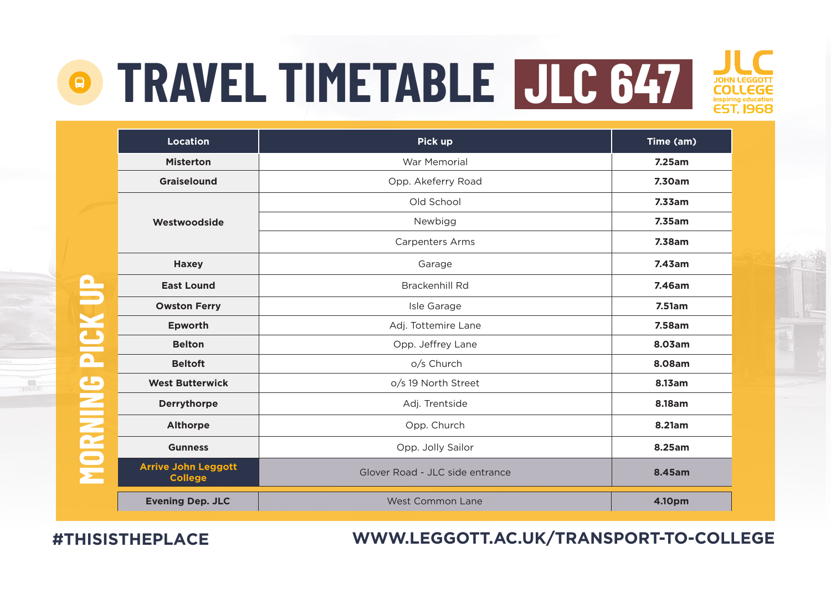

|               | <b>Location</b>                              | Pick up                         | Time (am) |
|---------------|----------------------------------------------|---------------------------------|-----------|
|               | <b>Misterton</b>                             | War Memorial                    | 7.25am    |
|               | Graiselound                                  | Opp. Akeferry Road              | 7.30am    |
|               |                                              | Old School                      | 7.33am    |
|               | Westwoodside                                 | Newbigg                         | 7.35am    |
|               |                                              | <b>Carpenters Arms</b>          | 7.38am    |
|               | Haxey                                        | Garage                          | 7.43am    |
| PICK UP       | <b>East Lound</b>                            | Brackenhill Rd                  | 7.46am    |
|               | <b>Owston Ferry</b>                          | Isle Garage                     | 7.51am    |
|               | Epworth                                      | Adj. Tottemire Lane             | 7.58am    |
|               | <b>Belton</b>                                | Opp. Jeffrey Lane               | 8.03am    |
|               | <b>Beltoft</b>                               | o/s Church                      | 8.08am    |
| $\mathbf G$   | <b>West Butterwick</b>                       | o/s 19 North Street             | 8.13am    |
|               | Derrythorpe                                  | Adj. Trentside                  | 8.18am    |
|               | Althorpe                                     | Opp. Church                     | 8.21am    |
|               | <b>Gunness</b>                               | Opp. Jolly Sailor               | 8.25am    |
| <b>AIRSOR</b> | <b>Arrive John Leggott</b><br><b>College</b> | Glover Road - JLC side entrance | 8.45am    |
|               | <b>Evening Dep. JLC</b>                      | <b>West Common Lane</b>         | 4.10pm    |

**#THISISTHEPLACE**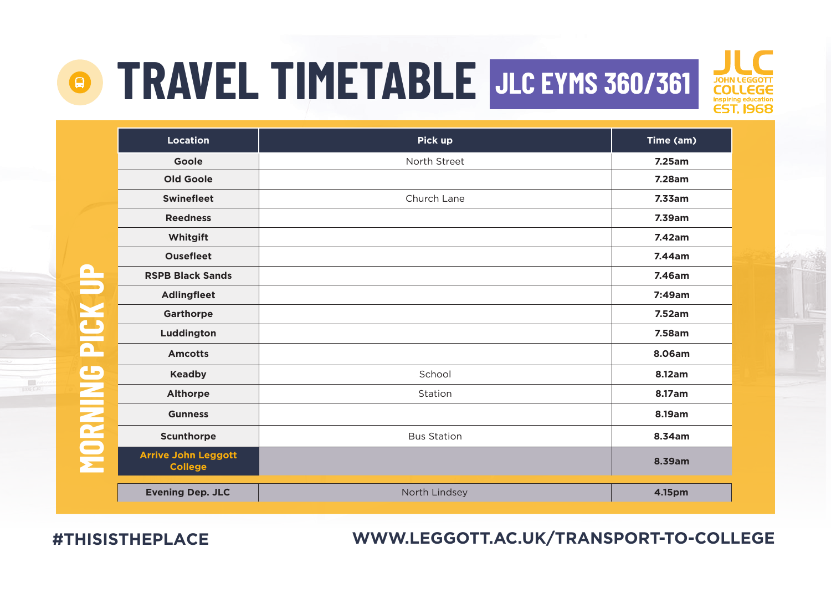### **TRAVEL TIMETABLE JLC EYMS 360/361**



|                   | <b>Location</b>                              | Pick up            | Time (am) |
|-------------------|----------------------------------------------|--------------------|-----------|
|                   | Goole                                        | North Street       | 7.25am    |
|                   | Old Goole                                    |                    | 7.28am    |
|                   | <b>Swinefleet</b>                            | Church Lane        | 7.33am    |
|                   | <b>Reedness</b>                              |                    | 7.39am    |
|                   | Whitgift                                     |                    | 7.42am    |
|                   | <b>Ousefleet</b>                             |                    | 7.44am    |
| $\mathbf{\Omega}$ | <b>RSPB Black Sands</b>                      |                    | 7.46am    |
| PICK U            | <b>Adlingfleet</b>                           |                    | 7:49am    |
|                   | Garthorpe                                    |                    | 7.52am    |
|                   | Luddington                                   |                    | 7.58am    |
|                   | <b>Amcotts</b>                               |                    | 8.06am    |
| $\mathbf G$       | Keadby                                       | School             | 8.12am    |
|                   | Althorpe                                     | Station            | 8.17am    |
|                   | <b>Gunness</b>                               |                    | 8.19am    |
|                   | Scunthorpe                                   | <b>Bus Station</b> | 8.34am    |
| MORNIN            | <b>Arrive John Leggott</b><br><b>College</b> |                    | 8.39am    |
|                   | <b>Evening Dep. JLC</b>                      | North Lindsey      | 4.15pm    |

**#THISISTHEPLACE**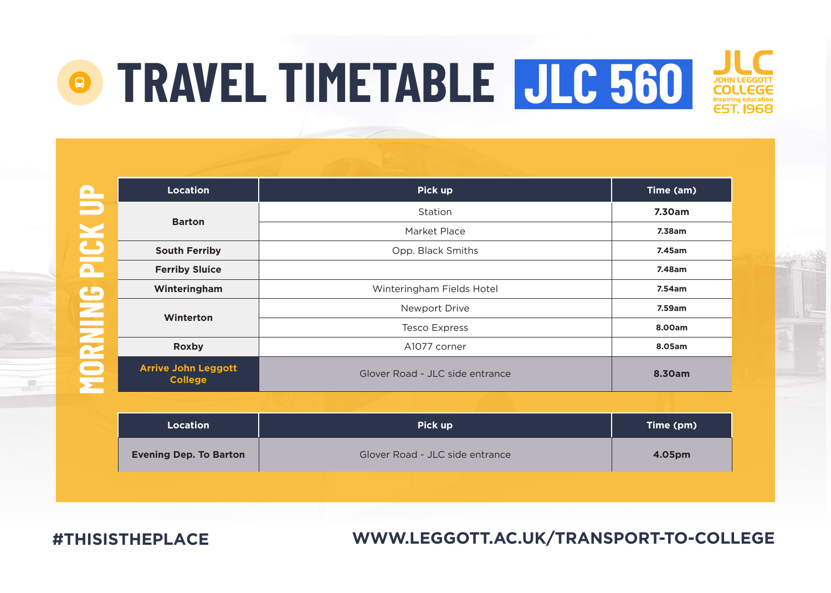| Δ                       | Location                                     | Pick up                         | Time (am) |
|-------------------------|----------------------------------------------|---------------------------------|-----------|
|                         |                                              | Station                         | 7.30am    |
| V                       | <b>Barton</b>                                | Market Place                    | 7.38am    |
| $\overline{\mathbf{C}}$ | <b>South Ferriby</b>                         | Opp. Black Smiths               | 7.45am    |
| $\overline{\mathbf{a}}$ | <b>Ferriby Sluice</b>                        |                                 | 7.48am    |
| C                       | Winteringham                                 | Winteringham Fields Hotel       | 7.54am    |
|                         | Winterton                                    | Newport Drive                   | 7.59am    |
|                         |                                              | <b>Tesco Express</b>            | 8.00am    |
| <b>NIKS</b>             | Roxby                                        | A1077 corner                    | 8.05am    |
| $\blacksquare$          | <b>Arrive John Leggott</b><br><b>College</b> | Glover Road - JLC side entrance | 8.30am    |
|                         |                                              |                                 |           |
|                         | <b>Location</b>                              | Pick up                         | Time (pm) |

| Location                      | Pick up                         | Time (pm) |
|-------------------------------|---------------------------------|-----------|
| <b>Evening Dep. To Barton</b> | Glover Road - JLC side entrance | 4.05pm    |
|                               |                                 |           |

**#THISISTHEPLACE**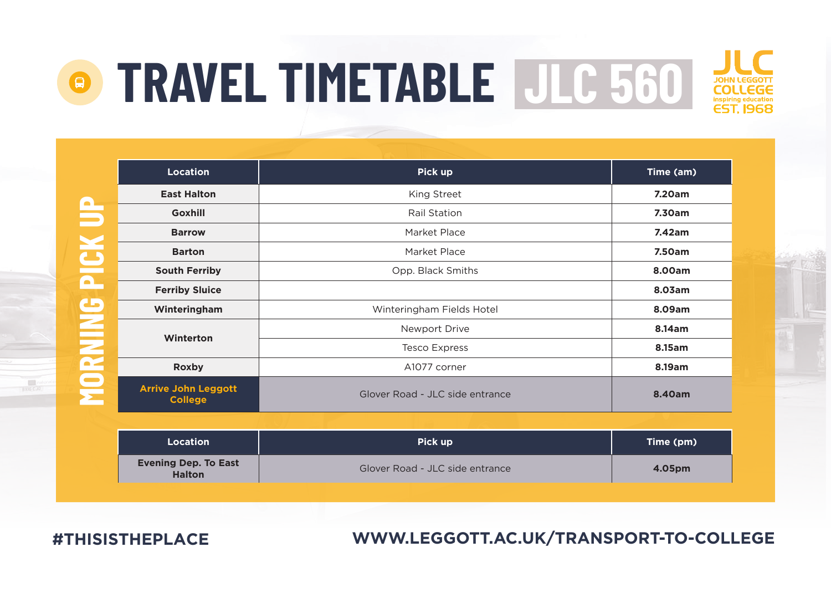

|                                            | Location                                     | Pick up                         | Time (am)                                 |
|--------------------------------------------|----------------------------------------------|---------------------------------|-------------------------------------------|
| $\mathbf \Omega$                           | <b>East Halton</b>                           | King Street                     | 7.20am                                    |
|                                            | Goxhill                                      | Rail Station                    | 7.30am                                    |
| Ξ                                          | <b>Barrow</b>                                | Market Place                    | 7.42am                                    |
|                                            | <b>Barton</b>                                | Market Place                    | 7.50am                                    |
| $\mathbf{\underline{C}}$<br>$\blacksquare$ | <b>South Ferriby</b>                         | Opp. Black Smiths               | 8.00am                                    |
|                                            | <b>Ferriby Sluice</b>                        |                                 | 8.03am                                    |
| ه                                          | Winteringham                                 | Winteringham Fields Hotel       | 8.09am                                    |
|                                            |                                              | Newport Drive                   | 8.14am                                    |
|                                            | Winterton                                    | <b>Tesco Express</b>            | 8.15am                                    |
|                                            | Roxby                                        | A1077 corner                    | 8.19am                                    |
| MORNI                                      | <b>Arrive John Leggott</b><br><b>College</b> | Glover Road - JLC side entrance | 8.40am                                    |
|                                            |                                              |                                 |                                           |
|                                            | <b>All Contract Contracts</b>                | <b>CONTRACTOR</b>               | <b>Service Contract Contract Contract</b> |

| Location                                     | Pick up                         | Time (pm) |
|----------------------------------------------|---------------------------------|-----------|
| <b>Evening Dep. To East</b><br><b>Halton</b> | Glover Road - JLC side entrance | 4.05pm    |

**#THISISTHEPLACE**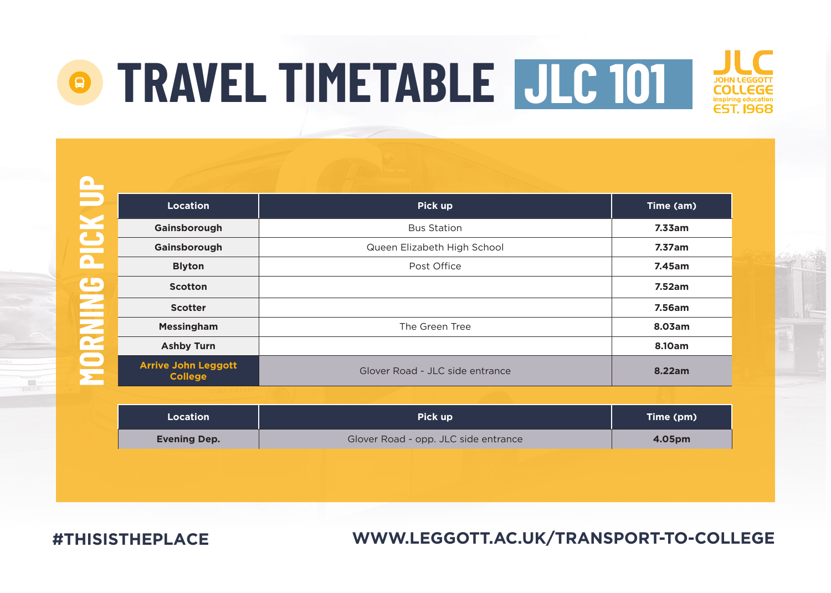| <b>CO</b>               |                                              |                                 |           |
|-------------------------|----------------------------------------------|---------------------------------|-----------|
|                         | <b>Location</b>                              | Pick up                         | Time (am) |
| $\overline{\mathbf{C}}$ | Gainsborough                                 | <b>Bus Station</b>              | 7.33am    |
|                         | Gainsborough                                 | Queen Elizabeth High School     | 7.37am    |
| $\overline{\mathbf{a}}$ | <b>Blyton</b>                                | Post Office                     | 7.45am    |
| C                       | <b>Scotton</b>                               |                                 | 7.52am    |
| $\equiv$                | <b>Scotter</b>                               |                                 | 7.56am    |
| $\mathbf{z}$            | <b>Messingham</b>                            | The Green Tree                  | 8.03am    |
|                         | <b>Ashby Turn</b>                            |                                 | 8.10am    |
| <u>ទ្</u>               | <b>Arrive John Leggott</b><br><b>College</b> | Glover Road - JLC side entrance | 8.22am    |

| <b>Location</b>     | Pick up                              | Time (pm) |
|---------------------|--------------------------------------|-----------|
| <b>Evening Dep.</b> | Glover Road - opp. JLC side entrance | 4.05pm    |

**#THISISTHEPLACE**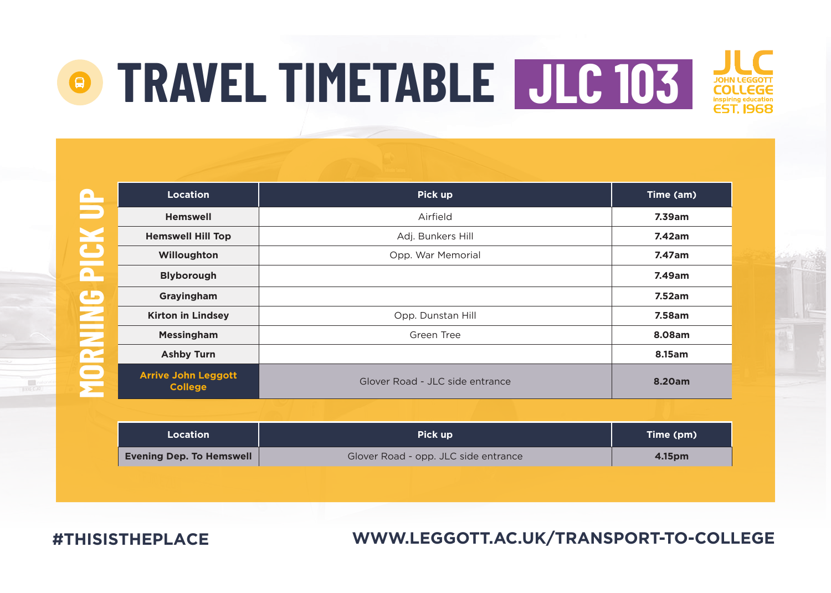

| Location                 | Pick up                              | Time (pm) |
|--------------------------|--------------------------------------|-----------|
| Evening Dep. To Hemswell | Glover Road - opp. JLC side entrance | 4.15pm    |

**#THISISTHEPLACE**

 $\frac{1}{\sqrt{2}}$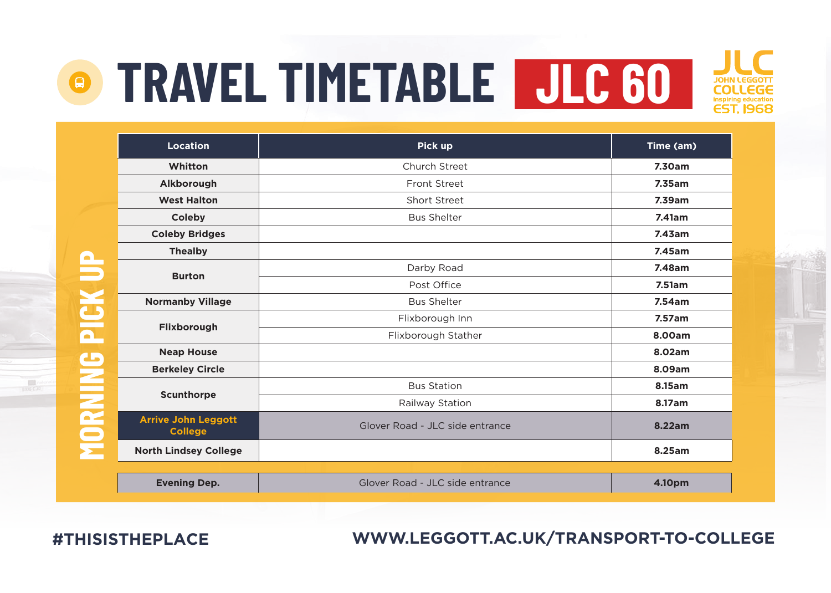

|               | <b>Location</b>                              | Pick up                         | Time (am) |
|---------------|----------------------------------------------|---------------------------------|-----------|
|               | Whitton                                      | Church Street                   | 7.30am    |
|               | Alkborough                                   | Front Street                    | 7.35am    |
|               | <b>West Halton</b>                           | Short Street                    | 7.39am    |
|               | Coleby                                       | <b>Bus Shelter</b>              | 7.41am    |
|               | <b>Coleby Bridges</b>                        |                                 | 7.43am    |
|               | <b>Thealby</b>                               |                                 | 7.45am    |
| 5             | <b>Burton</b>                                | Darby Road                      | 7.48am    |
|               |                                              | Post Office                     | 7.51am    |
| $\frac{1}{2}$ | <b>Normanby Village</b>                      | <b>Bus Shelter</b>              | 7.54am    |
|               | Flixborough                                  | Flixborough Inn                 | 7.57am    |
| ٥             |                                              | Flixborough Stather             | 8.00am    |
|               | <b>Neap House</b>                            |                                 | 8.02am    |
|               | <b>Berkeley Circle</b>                       |                                 | 8.09am    |
|               |                                              | <b>Bus Station</b>              | 8.15am    |
|               | Scunthorpe                                   | Railway Station                 | 8.17am    |
| <b>Expert</b> | <b>Arrive John Leggott</b><br><b>College</b> | Glover Road - JLC side entrance | 8.22am    |
|               | <b>North Lindsey College</b>                 |                                 | 8.25am    |
|               |                                              |                                 |           |
|               | <b>Evening Dep.</b>                          | Glover Road - JLC side entrance | 4.10pm    |

**#THISISTHEPLACE**